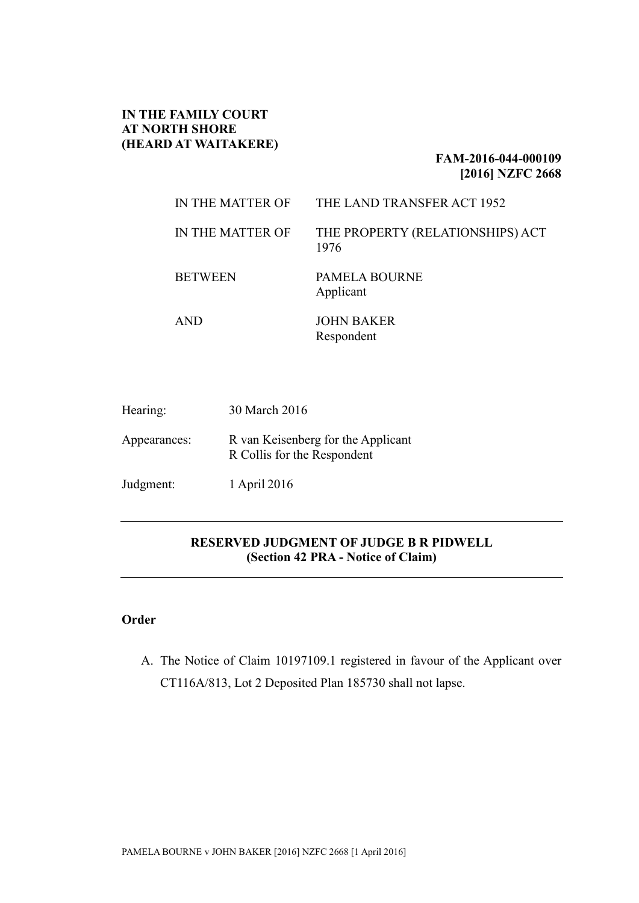#### **IN THE FAMILY COURT AT NORTH SHORE (HEARD AT WAITAKERE)**

#### **FAM-2016-044-000109 [2016] NZFC 2668**

| IN THE MATTER OF | THE LAND TRANSFER ACT 1952               |
|------------------|------------------------------------------|
| IN THE MATTER OF | THE PROPERTY (RELATIONSHIPS) ACT<br>1976 |
| <b>BETWEEN</b>   | <b>PAMELA BOURNE</b><br>Applicant        |
| AND              | <b>JOHN BAKER</b><br>Respondent          |

| Hearing:     | 30 March 2016                                                     |
|--------------|-------------------------------------------------------------------|
| Appearances: | R van Keisenberg for the Applicant<br>R Collis for the Respondent |
| Judgment:    | 1 April 2016                                                      |

## **RESERVED JUDGMENT OF JUDGE B R PIDWELL (Section 42 PRA - Notice of Claim)**

# **Order**

A. The Notice of Claim 10197109.1 registered in favour of the Applicant over CT116A/813, Lot 2 Deposited Plan 185730 shall not lapse.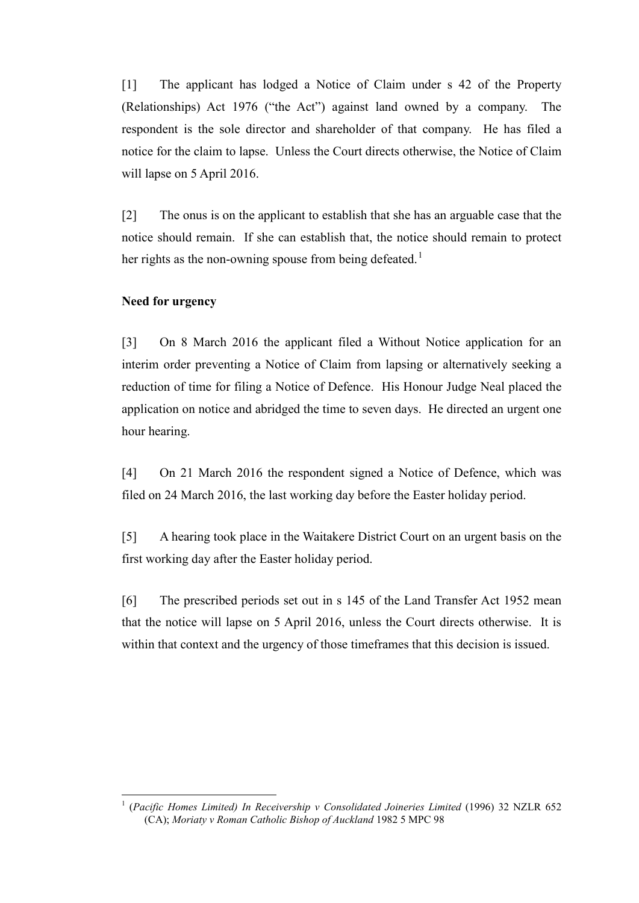[1] The applicant has lodged a Notice of Claim under s 42 of the Property (Relationships) Act 1976 ("the Act") against land owned by a company. The respondent is the sole director and shareholder of that company. He has filed a notice for the claim to lapse. Unless the Court directs otherwise, the Notice of Claim will lapse on 5 April 2016.

[2] The onus is on the applicant to establish that she has an arguable case that the notice should remain. If she can establish that, the notice should remain to protect her rights as the non-owning spouse from being defeated.<sup>[1](#page-1-0)</sup>

#### **Need for urgency**

[3] On 8 March 2016 the applicant filed a Without Notice application for an interim order preventing a Notice of Claim from lapsing or alternatively seeking a reduction of time for filing a Notice of Defence. His Honour Judge Neal placed the application on notice and abridged the time to seven days. He directed an urgent one hour hearing.

[4] On 21 March 2016 the respondent signed a Notice of Defence, which was filed on 24 March 2016, the last working day before the Easter holiday period.

[5] A hearing took place in the Waitakere District Court on an urgent basis on the first working day after the Easter holiday period.

[6] The prescribed periods set out in s 145 of the Land Transfer Act 1952 mean that the notice will lapse on 5 April 2016, unless the Court directs otherwise. It is within that context and the urgency of those timeframes that this decision is issued.

<span id="page-1-0"></span> <sup>1</sup> (*Pacific Homes Limited) In Receivership v Consolidated Joineries Limited* (1996) 32 NZLR 652 (CA); *Moriaty v Roman Catholic Bishop of Auckland* 1982 5 MPC 98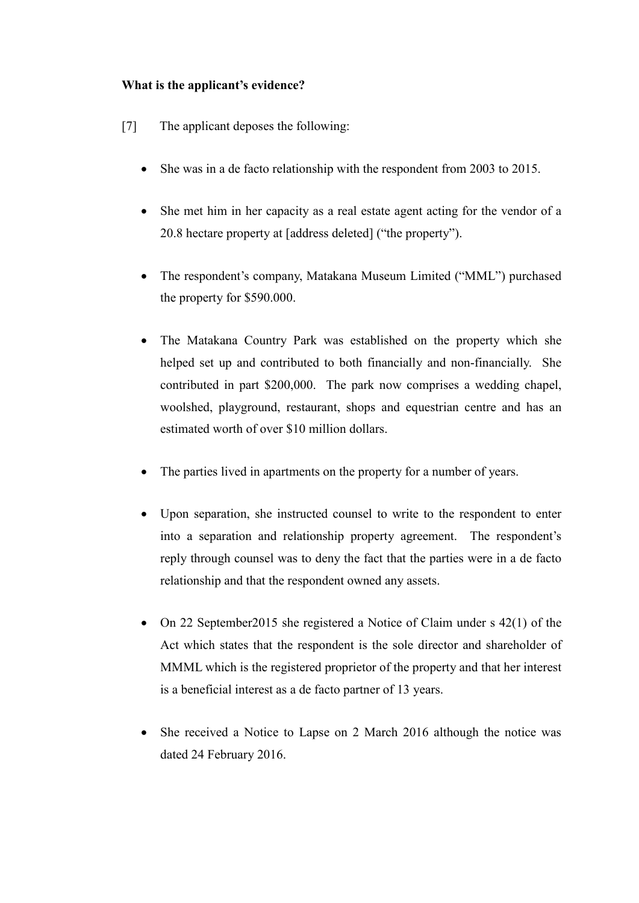## **What is the applicant's evidence?**

- [7] The applicant deposes the following:
	- She was in a de facto relationship with the respondent from 2003 to 2015.
	- She met him in her capacity as a real estate agent acting for the vendor of a 20.8 hectare property at [address deleted] ("the property").
	- The respondent's company, Matakana Museum Limited ("MML") purchased the property for \$590.000.
	- The Matakana Country Park was established on the property which she helped set up and contributed to both financially and non-financially. She contributed in part \$200,000. The park now comprises a wedding chapel, woolshed, playground, restaurant, shops and equestrian centre and has an estimated worth of over \$10 million dollars.
	- The parties lived in apartments on the property for a number of years.
	- Upon separation, she instructed counsel to write to the respondent to enter into a separation and relationship property agreement. The respondent's reply through counsel was to deny the fact that the parties were in a de facto relationship and that the respondent owned any assets.
	- On 22 September 2015 she registered a Notice of Claim under s 42(1) of the Act which states that the respondent is the sole director and shareholder of MMML which is the registered proprietor of the property and that her interest is a beneficial interest as a de facto partner of 13 years.
	- She received a Notice to Lapse on 2 March 2016 although the notice was dated 24 February 2016.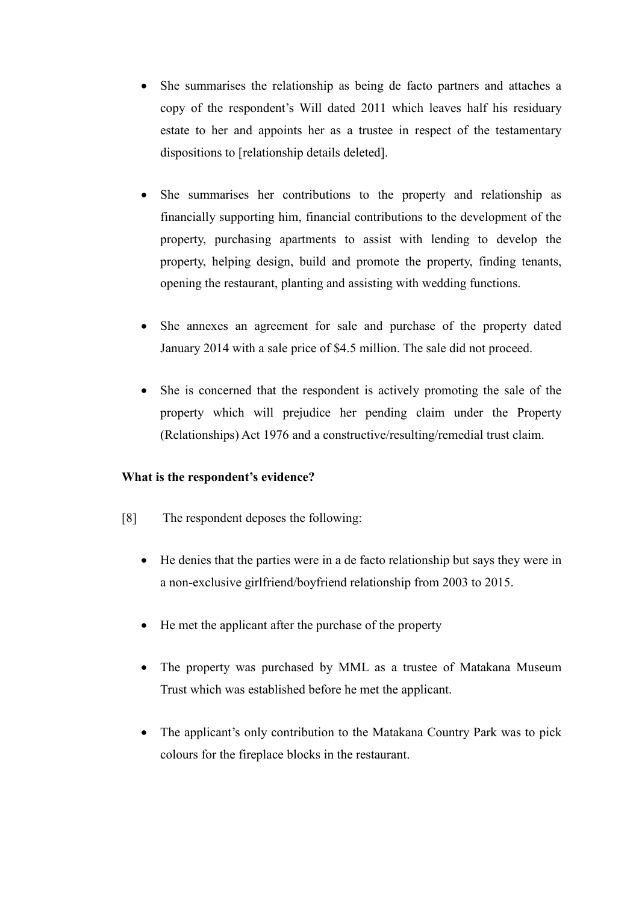- She summarises the relationship as being de facto partners and attaches a copy of the respondent's Will dated 2011 which leaves half his residuary estate to her and appoints her as a trustee in respect of the testamentary dispositions to [relationship details deleted].
- She summarises her contributions to the property and relationship as financially supporting him, financial contributions to the development of the property, purchasing apartments to assist with lending to develop the property, helping design, build and promote the property, finding tenants, opening the restaurant, planting and assisting with wedding functions.
- She annexes an agreement for sale and purchase of the property dated January 2014 with a sale price of \$4.5 million. The sale did not proceed.
- She is concerned that the respondent is actively promoting the sale of the property which will prejudice her pending claim under the Property (Relationships) Act 1976 and a constructive/resulting/remedial trust claim.

## **What is the respondent's evidence?**

- [8] The respondent deposes the following:
	- He denies that the parties were in a de facto relationship but says they were in a non-exclusive girlfriend/boyfriend relationship from 2003 to 2015.
	- He met the applicant after the purchase of the property
	- The property was purchased by MML as a trustee of Matakana Museum Trust which was established before he met the applicant.
	- The applicant's only contribution to the Matakana Country Park was to pick colours for the fireplace blocks in the restaurant.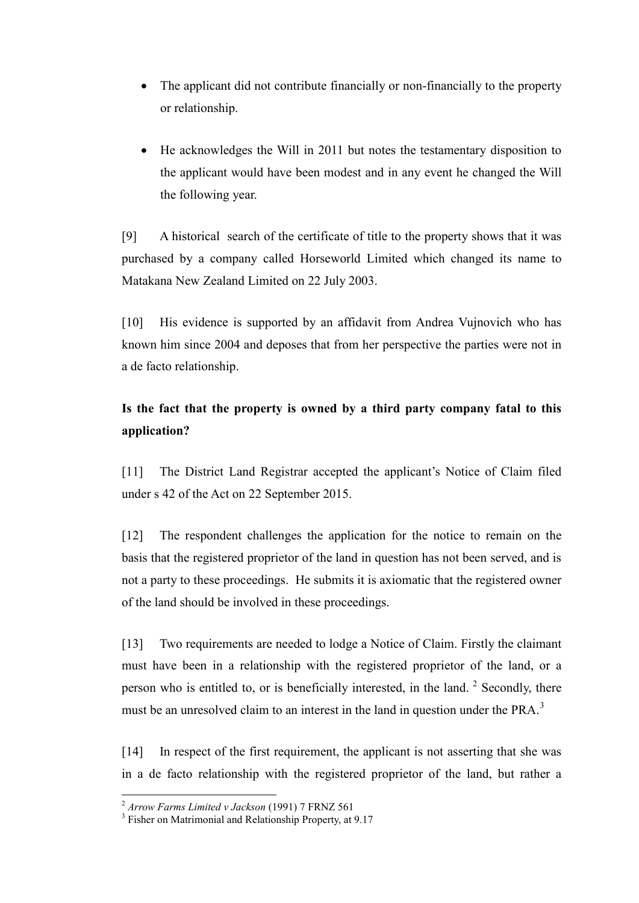- The applicant did not contribute financially or non-financially to the property or relationship.
- He acknowledges the Will in 2011 but notes the testamentary disposition to the applicant would have been modest and in any event he changed the Will the following year.

[9] A historical search of the certificate of title to the property shows that it was purchased by a company called Horseworld Limited which changed its name to Matakana New Zealand Limited on 22 July 2003.

[10] His evidence is supported by an affidavit from Andrea Vujnovich who has known him since 2004 and deposes that from her perspective the parties were not in a de facto relationship.

# **Is the fact that the property is owned by a third party company fatal to this application?**

[11] The District Land Registrar accepted the applicant's Notice of Claim filed under s 42 of the Act on 22 September 2015.

[12] The respondent challenges the application for the notice to remain on the basis that the registered proprietor of the land in question has not been served, and is not a party to these proceedings. He submits it is axiomatic that the registered owner of the land should be involved in these proceedings.

[13] Two requirements are needed to lodge a Notice of Claim. Firstly the claimant must have been in a relationship with the registered proprietor of the land, or a person who is entitled to, or is beneficially interested, in the land.  $2$  Secondly, there must be an unresolved claim to an interest in the land in question under the PRA.<sup>[3](#page-4-1)</sup>

[14] In respect of the first requirement, the applicant is not asserting that she was in a de facto relationship with the registered proprietor of the land, but rather a

<span id="page-4-1"></span><span id="page-4-0"></span><sup>&</sup>lt;sup>2</sup> *Arrow Farms Limited v Jackson* (1991) 7 FRNZ 561<sup>3</sup> Fisher on Matrimonial and Relationship Property, at 9.17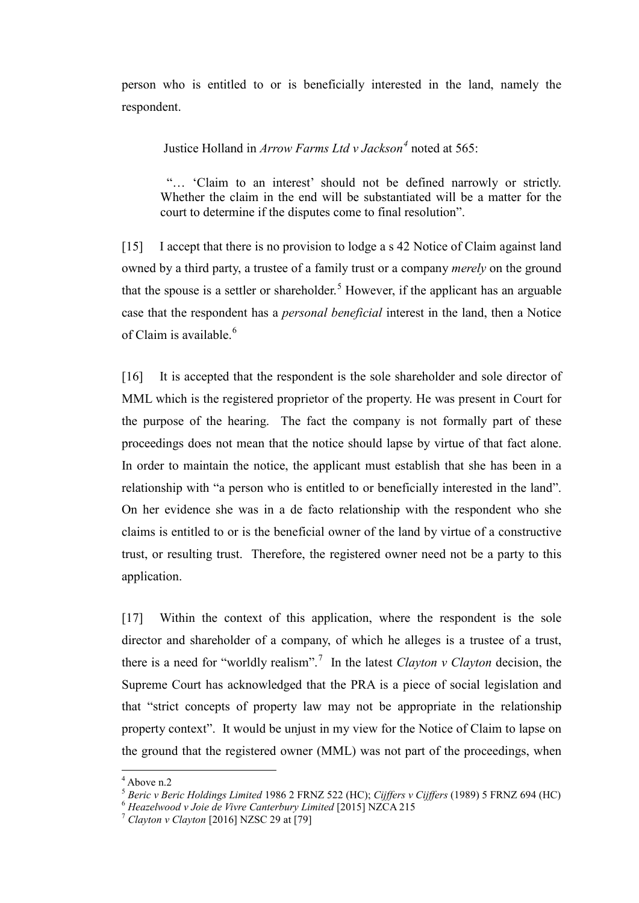person who is entitled to or is beneficially interested in the land, namely the respondent.

Justice Holland in *Arrow Farms Ltd v Jackson[4](#page-5-0)* noted at 565:

"… 'Claim to an interest' should not be defined narrowly or strictly. Whether the claim in the end will be substantiated will be a matter for the court to determine if the disputes come to final resolution".

[15] I accept that there is no provision to lodge a s 42 Notice of Claim against land owned by a third party, a trustee of a family trust or a company *merely* on the ground that the spouse is a settler or shareholder. [5](#page-5-1) However, if the applicant has an arguable case that the respondent has a *personal beneficial* interest in the land, then a Notice of Claim is available. [6](#page-5-2)

[16] It is accepted that the respondent is the sole shareholder and sole director of MML which is the registered proprietor of the property. He was present in Court for the purpose of the hearing. The fact the company is not formally part of these proceedings does not mean that the notice should lapse by virtue of that fact alone. In order to maintain the notice, the applicant must establish that she has been in a relationship with "a person who is entitled to or beneficially interested in the land". On her evidence she was in a de facto relationship with the respondent who she claims is entitled to or is the beneficial owner of the land by virtue of a constructive trust, or resulting trust. Therefore, the registered owner need not be a party to this application.

[17] Within the context of this application, where the respondent is the sole director and shareholder of a company, of which he alleges is a trustee of a trust, there is a need for "worldly realism".<sup>[7](#page-5-3)</sup> In the latest *Clayton v Clayton* decision, the Supreme Court has acknowledged that the PRA is a piece of social legislation and that "strict concepts of property law may not be appropriate in the relationship property context". It would be unjust in my view for the Notice of Claim to lapse on the ground that the registered owner (MML) was not part of the proceedings, when

<span id="page-5-0"></span> <sup>4</sup> Above n.2

<sup>&</sup>lt;sup>5</sup> Beric v Beric Holdings Limited 1986 2 FRNZ 522 (HC); Cijffers v Cijffers (1989) 5 FRNZ 694 (HC)<br><sup>6</sup> Heazelwood v Joie de Vivre Canterbury Limited [2015] NZCA 215<br><sup>7</sup> Clayton v Clayton [2016] NZSC 29 at [79]

<span id="page-5-3"></span><span id="page-5-2"></span><span id="page-5-1"></span>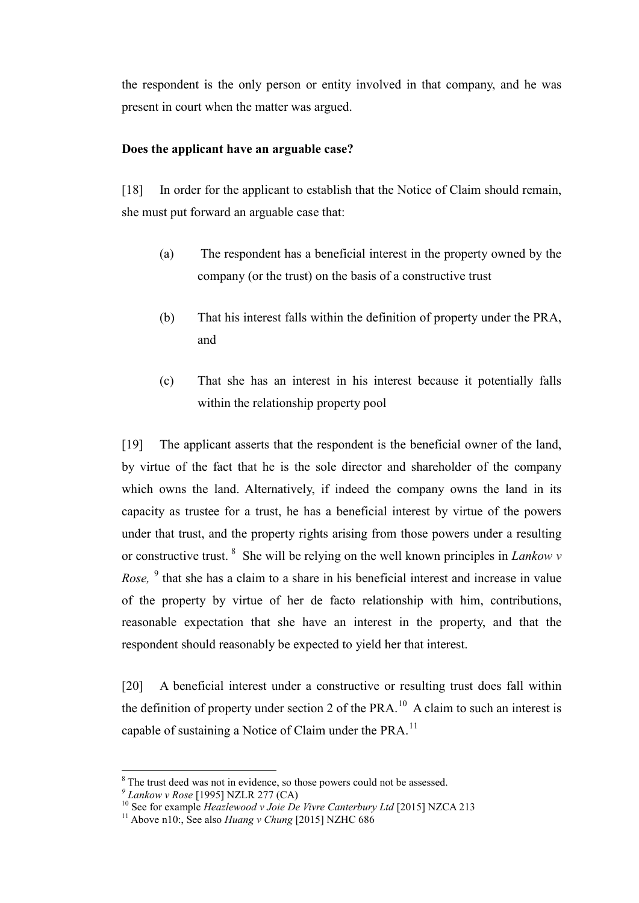the respondent is the only person or entity involved in that company, and he was present in court when the matter was argued.

## **Does the applicant have an arguable case?**

[18] In order for the applicant to establish that the Notice of Claim should remain, she must put forward an arguable case that:

- (a) The respondent has a beneficial interest in the property owned by the company (or the trust) on the basis of a constructive trust
- (b) That his interest falls within the definition of property under the PRA, and
- (c) That she has an interest in his interest because it potentially falls within the relationship property pool

[19] The applicant asserts that the respondent is the beneficial owner of the land, by virtue of the fact that he is the sole director and shareholder of the company which owns the land. Alternatively, if indeed the company owns the land in its capacity as trustee for a trust, he has a beneficial interest by virtue of the powers under that trust, and the property rights arising from those powers under a resulting or constructive trust. [8](#page-6-0) She will be relying on the well known principles in *Lankow v Rose*, <sup>[9](#page-6-1)</sup> that she has a claim to a share in his beneficial interest and increase in value of the property by virtue of her de facto relationship with him, contributions, reasonable expectation that she have an interest in the property, and that the respondent should reasonably be expected to yield her that interest.

[20] A beneficial interest under a constructive or resulting trust does fall within the definition of property under section 2 of the PRA.<sup>[10](#page-6-2)</sup> A claim to such an interest is capable of sustaining a Notice of Claim under the PRA.<sup>[11](#page-6-3)</sup>

<span id="page-6-2"></span>

<span id="page-6-1"></span><span id="page-6-0"></span><sup>&</sup>lt;sup>8</sup> The trust deed was not in evidence, so those powers could not be assessed.<br>
<sup>9</sup> *Lankow v Rose* [1995] NZLR 277 (CA)<br>
<sup>10</sup> See for example *Heazlewood v Joie De Vivre Canterbury Ltd* [2015] NZCA 213<br>
<sup>11</sup> Above n10:.

<span id="page-6-3"></span>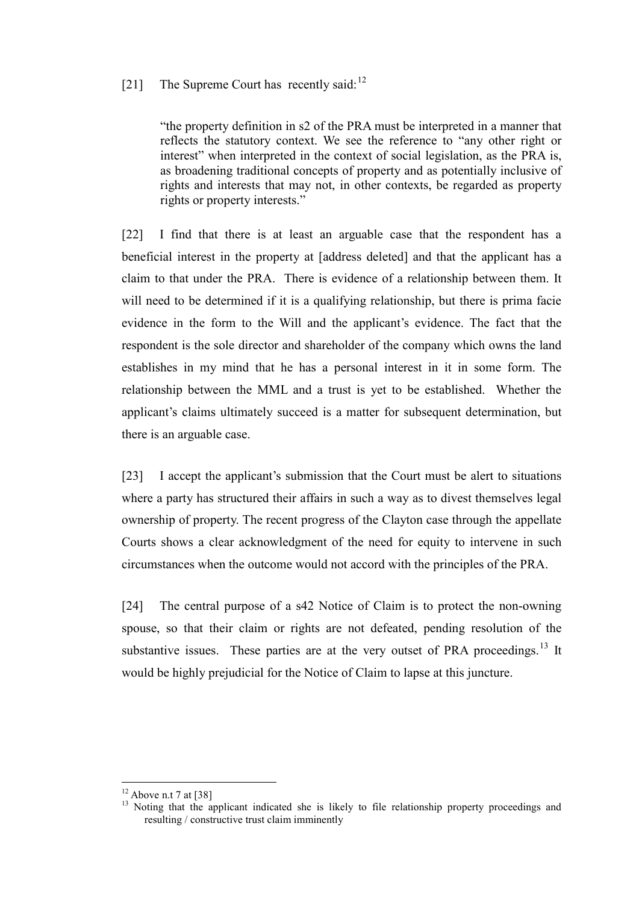# [21] The Supreme Court has recently said:  $12$

"the property definition in s2 of the PRA must be interpreted in a manner that reflects the statutory context. We see the reference to "any other right or interest" when interpreted in the context of social legislation, as the PRA is, as broadening traditional concepts of property and as potentially inclusive of rights and interests that may not, in other contexts, be regarded as property rights or property interests."

[22] I find that there is at least an arguable case that the respondent has a beneficial interest in the property at [address deleted] and that the applicant has a claim to that under the PRA. There is evidence of a relationship between them. It will need to be determined if it is a qualifying relationship, but there is prima facie evidence in the form to the Will and the applicant's evidence. The fact that the respondent is the sole director and shareholder of the company which owns the land establishes in my mind that he has a personal interest in it in some form. The relationship between the MML and a trust is yet to be established. Whether the applicant's claims ultimately succeed is a matter for subsequent determination, but there is an arguable case.

[23] I accept the applicant's submission that the Court must be alert to situations where a party has structured their affairs in such a way as to divest themselves legal ownership of property. The recent progress of the Clayton case through the appellate Courts shows a clear acknowledgment of the need for equity to intervene in such circumstances when the outcome would not accord with the principles of the PRA.

[24] The central purpose of a s42 Notice of Claim is to protect the non-owning spouse, so that their claim or rights are not defeated, pending resolution of the substantive issues. These parties are at the very outset of PRA proceedings.<sup>[13](#page-7-1)</sup> It would be highly prejudicial for the Notice of Claim to lapse at this juncture.

<span id="page-7-1"></span><span id="page-7-0"></span><sup>&</sup>lt;sup>12</sup> Above n.t 7 at [38] <sup>13</sup> Noting that the applicant indicated she is likely to file relationship property proceedings and resulting / constructive trust claim imminently